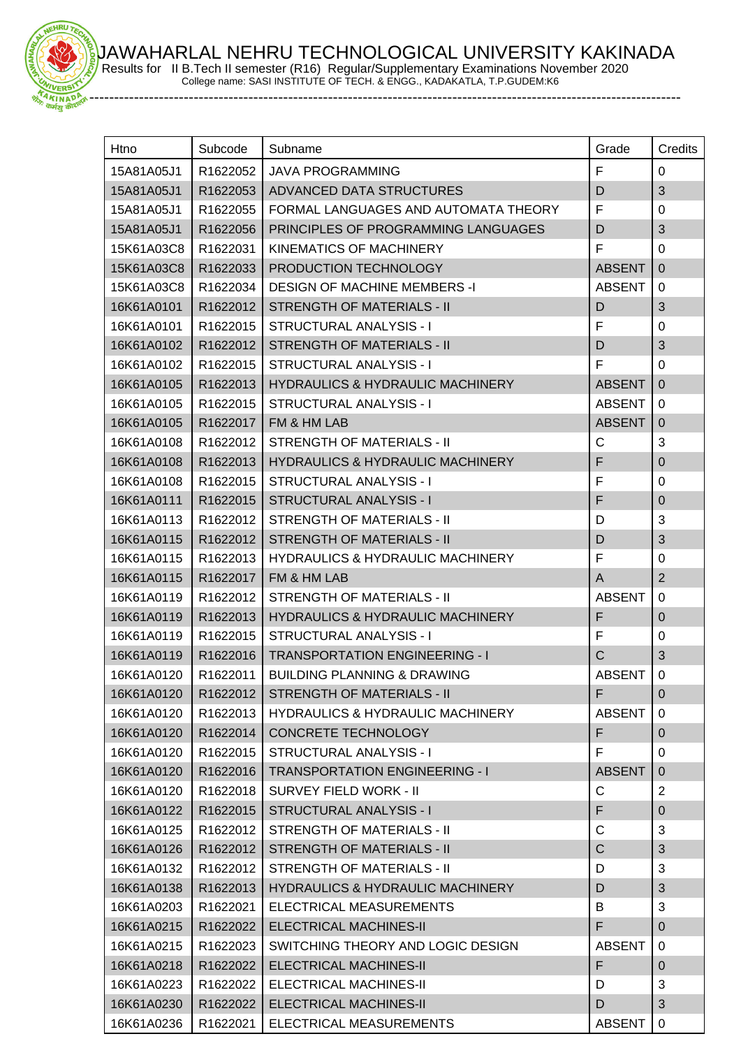JAWAHARLAL NEHRU TECHNOLOGICAL UNIVERSITY KAKINADA



Results for II B.Tech II semester (R16) Regular/Supplementary Examinations November 2020 College name: SASI INSTITUTE OF TECH. & ENGG., KADAKATLA, T.P.GUDEM:K6

-----------------------------------------------------------------------------------------------------------------------

| Htno       | Subcode  | Subname                                     | Grade         | Credits        |
|------------|----------|---------------------------------------------|---------------|----------------|
|            |          |                                             |               |                |
| 15A81A05J1 | R1622052 | <b>JAVA PROGRAMMING</b>                     | F             | $\mathbf 0$    |
| 15A81A05J1 | R1622053 | ADVANCED DATA STRUCTURES                    | D             | 3              |
| 15A81A05J1 | R1622055 | FORMAL LANGUAGES AND AUTOMATA THEORY        | F             | $\mathbf 0$    |
| 15A81A05J1 | R1622056 | PRINCIPLES OF PROGRAMMING LANGUAGES         | D             | $\mathfrak{B}$ |
| 15K61A03C8 | R1622031 | KINEMATICS OF MACHINERY                     | F             | $\mathbf 0$    |
| 15K61A03C8 | R1622033 | PRODUCTION TECHNOLOGY                       | <b>ABSENT</b> | $\mathbf 0$    |
| 15K61A03C8 | R1622034 | <b>DESIGN OF MACHINE MEMBERS -I</b>         | <b>ABSENT</b> | 0              |
| 16K61A0101 | R1622012 | <b>STRENGTH OF MATERIALS - II</b>           | D             | 3              |
| 16K61A0101 | R1622015 | STRUCTURAL ANALYSIS - I                     | F             | $\mathbf 0$    |
| 16K61A0102 | R1622012 | <b>STRENGTH OF MATERIALS - II</b>           | D             | $\mathfrak{B}$ |
| 16K61A0102 | R1622015 | STRUCTURAL ANALYSIS - I                     | F             | $\Omega$       |
| 16K61A0105 | R1622013 | <b>HYDRAULICS &amp; HYDRAULIC MACHINERY</b> | <b>ABSENT</b> | $\mathbf{0}$   |
| 16K61A0105 | R1622015 | STRUCTURAL ANALYSIS - I                     | <b>ABSENT</b> | 0              |
| 16K61A0105 | R1622017 | FM & HM LAB                                 | <b>ABSENT</b> | $\mathbf 0$    |
| 16K61A0108 | R1622012 | STRENGTH OF MATERIALS - II                  | С             | 3              |
| 16K61A0108 | R1622013 | <b>HYDRAULICS &amp; HYDRAULIC MACHINERY</b> | F             | $\pmb{0}$      |
| 16K61A0108 | R1622015 | STRUCTURAL ANALYSIS - I                     | F             | $\mathbf 0$    |
| 16K61A0111 | R1622015 | <b>STRUCTURAL ANALYSIS - I</b>              | F             | $\pmb{0}$      |
| 16K61A0113 | R1622012 | <b>STRENGTH OF MATERIALS - II</b>           | D             | 3              |
| 16K61A0115 | R1622012 | <b>STRENGTH OF MATERIALS - II</b>           | D             | $\mathfrak{B}$ |
| 16K61A0115 | R1622013 | <b>HYDRAULICS &amp; HYDRAULIC MACHINERY</b> | F             | 0              |
| 16K61A0115 | R1622017 | FM & HM LAB                                 | A             | $\overline{2}$ |
| 16K61A0119 | R1622012 | STRENGTH OF MATERIALS - II                  | <b>ABSENT</b> | 0              |
| 16K61A0119 | R1622013 | <b>HYDRAULICS &amp; HYDRAULIC MACHINERY</b> | F             | $\mathbf 0$    |
| 16K61A0119 | R1622015 | STRUCTURAL ANALYSIS - I                     | F             | $\mathbf 0$    |
| 16K61A0119 | R1622016 | <b>TRANSPORTATION ENGINEERING - I</b>       | $\mathsf C$   | $\mathbf{3}$   |
| 16K61A0120 | R1622011 | <b>BUILDING PLANNING &amp; DRAWING</b>      | <b>ABSENT</b> | $\Omega$       |
| 16K61A0120 | R1622012 | <b>STRENGTH OF MATERIALS - II</b>           | F.            | 0              |
| 16K61A0120 | R1622013 | <b>HYDRAULICS &amp; HYDRAULIC MACHINERY</b> | <b>ABSENT</b> | 0              |
| 16K61A0120 | R1622014 | CONCRETE TECHNOLOGY                         | F             | $\mathbf 0$    |
| 16K61A0120 | R1622015 | STRUCTURAL ANALYSIS - I                     | F             | 0              |
| 16K61A0120 | R1622016 | <b>TRANSPORTATION ENGINEERING - I</b>       | <b>ABSENT</b> | $\overline{0}$ |
| 16K61A0120 | R1622018 | <b>SURVEY FIELD WORK - II</b>               | С             | $\overline{2}$ |
| 16K61A0122 | R1622015 | <b>STRUCTURAL ANALYSIS - I</b>              | F             | $\overline{0}$ |
| 16K61A0125 | R1622012 | STRENGTH OF MATERIALS - II                  | C             | 3              |
| 16K61A0126 | R1622012 | <b>STRENGTH OF MATERIALS - II</b>           | $\mathsf C$   | $\mathfrak{B}$ |
| 16K61A0132 | R1622012 | <b>STRENGTH OF MATERIALS - II</b>           | D             | 3              |
| 16K61A0138 | R1622013 | <b>HYDRAULICS &amp; HYDRAULIC MACHINERY</b> | D             | $\sqrt{3}$     |
| 16K61A0203 | R1622021 | ELECTRICAL MEASUREMENTS                     | B             | 3              |
| 16K61A0215 | R1622022 | <b>ELECTRICAL MACHINES-II</b>               | F             | $\overline{0}$ |
| 16K61A0215 | R1622023 | SWITCHING THEORY AND LOGIC DESIGN           | <b>ABSENT</b> | 0              |
| 16K61A0218 | R1622022 | ELECTRICAL MACHINES-II                      | F             | $\mathbf 0$    |
| 16K61A0223 | R1622022 | ELECTRICAL MACHINES-II                      | D             | 3              |
| 16K61A0230 | R1622022 | <b>ELECTRICAL MACHINES-II</b>               | D             | 3              |
| 16K61A0236 | R1622021 | ELECTRICAL MEASUREMENTS                     | <b>ABSENT</b> | 0              |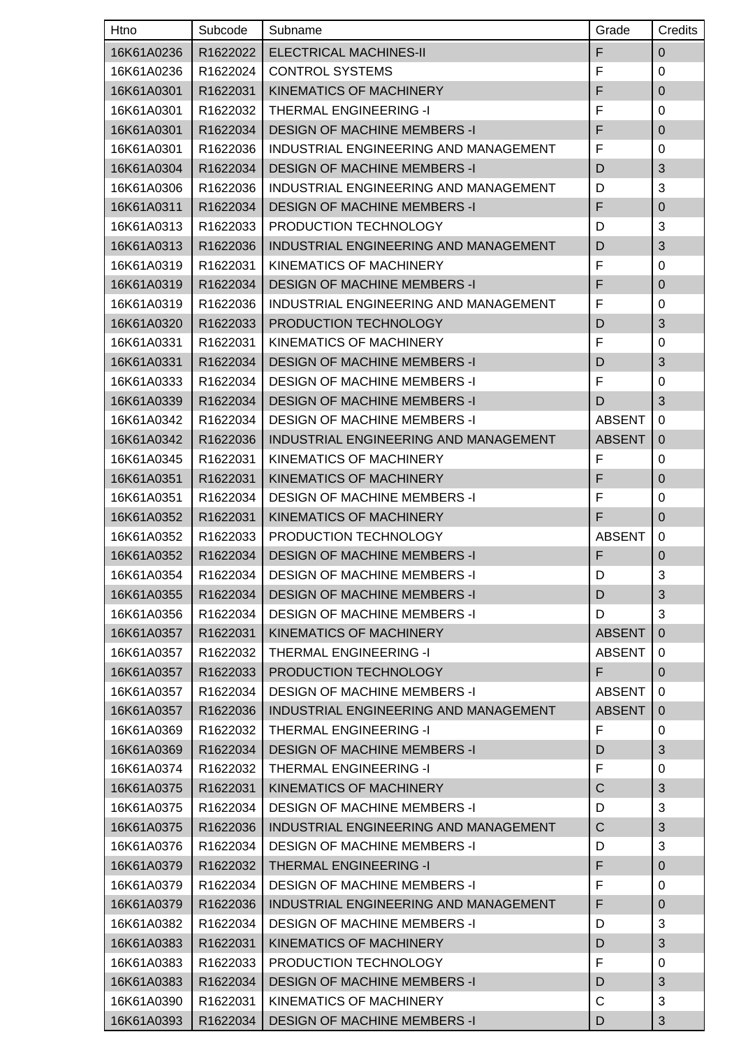| Htno       | Subcode              | Subname                               | Grade         | Credits        |
|------------|----------------------|---------------------------------------|---------------|----------------|
| 16K61A0236 | R1622022             | <b>ELECTRICAL MACHINES-II</b>         | F             | $\overline{0}$ |
| 16K61A0236 | R1622024             | <b>CONTROL SYSTEMS</b>                | F             | 0              |
| 16K61A0301 | R1622031             | <b>KINEMATICS OF MACHINERY</b>        | F             | $\overline{0}$ |
| 16K61A0301 | R1622032             | <b>THERMAL ENGINEERING -I</b>         | F             | 0              |
| 16K61A0301 | R1622034             | <b>DESIGN OF MACHINE MEMBERS -I</b>   | F             | $\mathbf 0$    |
| 16K61A0301 | R1622036             | INDUSTRIAL ENGINEERING AND MANAGEMENT | F             | 0              |
| 16K61A0304 | R1622034             | <b>DESIGN OF MACHINE MEMBERS -I</b>   | D             | 3              |
| 16K61A0306 | R1622036             | INDUSTRIAL ENGINEERING AND MANAGEMENT | D             | 3              |
| 16K61A0311 | R1622034             | <b>DESIGN OF MACHINE MEMBERS -I</b>   | F             | $\pmb{0}$      |
| 16K61A0313 | R1622033             | PRODUCTION TECHNOLOGY                 | D             | 3              |
| 16K61A0313 | R1622036             | INDUSTRIAL ENGINEERING AND MANAGEMENT | D             | 3              |
| 16K61A0319 | R1622031             | KINEMATICS OF MACHINERY               | F             | 0              |
| 16K61A0319 | R1622034             | <b>DESIGN OF MACHINE MEMBERS -I</b>   | F             | $\mathbf 0$    |
| 16K61A0319 | R1622036             | INDUSTRIAL ENGINEERING AND MANAGEMENT | F             | 0              |
| 16K61A0320 | R1622033             | PRODUCTION TECHNOLOGY                 | D             | 3              |
| 16K61A0331 | R1622031             | KINEMATICS OF MACHINERY               | F             | 0              |
| 16K61A0331 | R1622034             | <b>DESIGN OF MACHINE MEMBERS -I</b>   | D             | $\mathfrak{B}$ |
| 16K61A0333 | R1622034             | <b>DESIGN OF MACHINE MEMBERS -I</b>   | F             | 0              |
| 16K61A0339 | R1622034             | <b>DESIGN OF MACHINE MEMBERS -I</b>   | D             | $\mathfrak{B}$ |
| 16K61A0342 | R1622034             | <b>DESIGN OF MACHINE MEMBERS -I</b>   | <b>ABSENT</b> | $\mathbf 0$    |
| 16K61A0342 | R1622036             | INDUSTRIAL ENGINEERING AND MANAGEMENT | <b>ABSENT</b> | $\overline{0}$ |
| 16K61A0345 | R1622031             | KINEMATICS OF MACHINERY               | F             | 0              |
| 16K61A0351 | R1622031             | <b>KINEMATICS OF MACHINERY</b>        | F             | $\overline{0}$ |
| 16K61A0351 | R1622034             | <b>DESIGN OF MACHINE MEMBERS -I</b>   | F             | 0              |
| 16K61A0352 | R1622031             | KINEMATICS OF MACHINERY               | F             | $\overline{0}$ |
| 16K61A0352 | R1622033             | PRODUCTION TECHNOLOGY                 | <b>ABSENT</b> | 0              |
| 16K61A0352 | R1622034             | <b>DESIGN OF MACHINE MEMBERS -I</b>   | F             | $\pmb{0}$      |
| 16K61A0354 | R <sub>1622034</sub> | <b>DESIGN OF MACHINE MEMBERS -I</b>   | D             | 3              |
| 16K61A0355 | R1622034             | <b>DESIGN OF MACHINE MEMBERS -I</b>   | D             | 3              |
| 16K61A0356 | R1622034             | <b>DESIGN OF MACHINE MEMBERS -I</b>   | D             | 3              |
| 16K61A0357 | R1622031             | KINEMATICS OF MACHINERY               | <b>ABSENT</b> | $\overline{0}$ |
| 16K61A0357 | R1622032             | THERMAL ENGINEERING -I                | <b>ABSENT</b> | 0              |
| 16K61A0357 | R1622033             | PRODUCTION TECHNOLOGY                 | F             | $\mathbf 0$    |
| 16K61A0357 | R1622034             | <b>DESIGN OF MACHINE MEMBERS -I</b>   | <b>ABSENT</b> | 0              |
| 16K61A0357 | R1622036             | INDUSTRIAL ENGINEERING AND MANAGEMENT | <b>ABSENT</b> | $\overline{0}$ |
| 16K61A0369 | R1622032             | <b>THERMAL ENGINEERING -I</b>         | F             | 0              |
| 16K61A0369 | R1622034             | <b>DESIGN OF MACHINE MEMBERS -I</b>   | D             | 3              |
| 16K61A0374 | R1622032             | THERMAL ENGINEERING -I                | F             | 0              |
| 16K61A0375 | R1622031             | KINEMATICS OF MACHINERY               | $\mathsf{C}$  | $\mathfrak{B}$ |
| 16K61A0375 | R1622034             | <b>DESIGN OF MACHINE MEMBERS -I</b>   | D             | 3              |
| 16K61A0375 | R1622036             | INDUSTRIAL ENGINEERING AND MANAGEMENT | $\mathsf C$   | $\mathfrak{S}$ |
| 16K61A0376 | R1622034             | <b>DESIGN OF MACHINE MEMBERS -I</b>   | D             | 3              |
| 16K61A0379 | R1622032             | <b>THERMAL ENGINEERING -I</b>         | F             | $\mathbf 0$    |
| 16K61A0379 | R1622034             | <b>DESIGN OF MACHINE MEMBERS -I</b>   | F             | 0              |
| 16K61A0379 | R1622036             | INDUSTRIAL ENGINEERING AND MANAGEMENT | F             | $\mathbf 0$    |
| 16K61A0382 | R1622034             | <b>DESIGN OF MACHINE MEMBERS -I</b>   | D             | 3              |
| 16K61A0383 | R1622031             | KINEMATICS OF MACHINERY               | D             | 3              |
| 16K61A0383 | R1622033             | PRODUCTION TECHNOLOGY                 | F             | 0              |
| 16K61A0383 | R1622034             | <b>DESIGN OF MACHINE MEMBERS -I</b>   | D             | 3              |
| 16K61A0390 | R1622031             | KINEMATICS OF MACHINERY               | C             | 3              |
| 16K61A0393 | R1622034             | <b>DESIGN OF MACHINE MEMBERS -I</b>   | D             | 3              |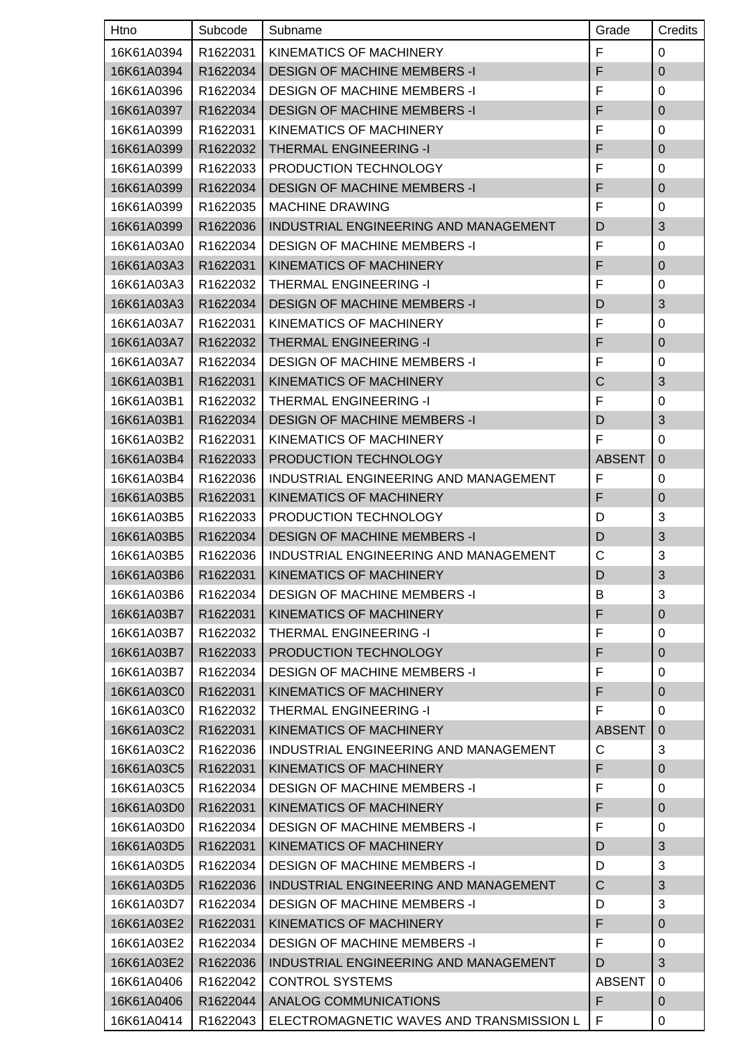| Htno       | Subcode              | Subname                                  | Grade         | Credits                   |
|------------|----------------------|------------------------------------------|---------------|---------------------------|
| 16K61A0394 | R1622031             | KINEMATICS OF MACHINERY                  | F             | 0                         |
| 16K61A0394 | R1622034             | <b>DESIGN OF MACHINE MEMBERS -I</b>      | F             | $\mathbf 0$               |
| 16K61A0396 | R1622034             | <b>DESIGN OF MACHINE MEMBERS -I</b>      | F             | 0                         |
| 16K61A0397 | R1622034             | <b>DESIGN OF MACHINE MEMBERS -I</b>      | F             | $\mathbf 0$               |
| 16K61A0399 | R1622031             | KINEMATICS OF MACHINERY                  | F             | 0                         |
| 16K61A0399 | R1622032             | <b>THERMAL ENGINEERING -I</b>            | F             | $\mathbf 0$               |
| 16K61A0399 | R1622033             | PRODUCTION TECHNOLOGY                    | F             | 0                         |
| 16K61A0399 | R1622034             | <b>DESIGN OF MACHINE MEMBERS -I</b>      | F             | $\mathbf 0$               |
| 16K61A0399 | R1622035             | <b>MACHINE DRAWING</b>                   | F             | 0                         |
| 16K61A0399 | R1622036             | INDUSTRIAL ENGINEERING AND MANAGEMENT    | D             | 3                         |
| 16K61A03A0 | R1622034             | <b>DESIGN OF MACHINE MEMBERS -I</b>      | F             | 0                         |
| 16K61A03A3 | R1622031             | KINEMATICS OF MACHINERY                  | F             | $\overline{0}$            |
| 16K61A03A3 | R1622032             | THERMAL ENGINEERING -I                   | F             | 0                         |
| 16K61A03A3 | R1622034             | <b>DESIGN OF MACHINE MEMBERS -I</b>      | D             | $\mathfrak{B}$            |
| 16K61A03A7 | R1622031             | KINEMATICS OF MACHINERY                  | F             | 0                         |
| 16K61A03A7 | R1622032             | <b>THERMAL ENGINEERING -I</b>            | F             | $\mathbf 0$               |
| 16K61A03A7 | R1622034             | <b>DESIGN OF MACHINE MEMBERS -I</b>      | F             | 0                         |
| 16K61A03B1 | R1622031             | KINEMATICS OF MACHINERY                  | C             | 3                         |
| 16K61A03B1 | R1622032             | THERMAL ENGINEERING -I                   | F             | 0                         |
| 16K61A03B1 | R1622034             | <b>DESIGN OF MACHINE MEMBERS -I</b>      | D             | 3                         |
| 16K61A03B2 | R1622031             | KINEMATICS OF MACHINERY                  | F             | 0                         |
| 16K61A03B4 | R1622033             | PRODUCTION TECHNOLOGY                    | <b>ABSENT</b> | $\overline{0}$            |
| 16K61A03B4 | R1622036             | INDUSTRIAL ENGINEERING AND MANAGEMENT    | F             | 0                         |
| 16K61A03B5 | R1622031             | KINEMATICS OF MACHINERY                  | F             | $\pmb{0}$                 |
| 16K61A03B5 | R1622033             | PRODUCTION TECHNOLOGY                    | D             | 3                         |
| 16K61A03B5 | R1622034             | <b>DESIGN OF MACHINE MEMBERS -I</b>      | D             | 3                         |
| 16K61A03B5 | R1622036             | INDUSTRIAL ENGINEERING AND MANAGEMENT    | С             | 3                         |
| 16K61A03B6 | R <sub>1622031</sub> | KINEMATICS OF MACHINERY                  | D             | $\ensuremath{\mathsf{3}}$ |
| 16K61A03B6 | R1622034             | <b>DESIGN OF MACHINE MEMBERS -I</b>      | В             | 3                         |
| 16K61A03B7 | R1622031             | KINEMATICS OF MACHINERY                  | F             | $\pmb{0}$                 |
| 16K61A03B7 | R1622032             | THERMAL ENGINEERING -I                   | F             | 0                         |
| 16K61A03B7 | R1622033             | PRODUCTION TECHNOLOGY                    | F             | $\mathbf 0$               |
| 16K61A03B7 | R1622034             | <b>DESIGN OF MACHINE MEMBERS -I</b>      | F             | 0                         |
| 16K61A03C0 | R1622031             | KINEMATICS OF MACHINERY                  | F             | $\pmb{0}$                 |
| 16K61A03C0 | R1622032             | THERMAL ENGINEERING -I                   | F             | 0                         |
| 16K61A03C2 | R1622031             | <b>KINEMATICS OF MACHINERY</b>           | <b>ABSENT</b> | $\mathbf 0$               |
| 16K61A03C2 | R1622036             | INDUSTRIAL ENGINEERING AND MANAGEMENT    | C             | 3                         |
| 16K61A03C5 | R1622031             | KINEMATICS OF MACHINERY                  | F             | $\mathbf 0$               |
| 16K61A03C5 | R1622034             | <b>DESIGN OF MACHINE MEMBERS -I</b>      | F             | 0                         |
| 16K61A03D0 | R1622031             | KINEMATICS OF MACHINERY                  | F             | $\mathbf 0$               |
| 16K61A03D0 | R1622034             | <b>DESIGN OF MACHINE MEMBERS -I</b>      | F             | 0                         |
| 16K61A03D5 | R1622031             | KINEMATICS OF MACHINERY                  | D             | 3                         |
| 16K61A03D5 | R1622034             | <b>DESIGN OF MACHINE MEMBERS -I</b>      | D             | 3                         |
| 16K61A03D5 | R1622036             | INDUSTRIAL ENGINEERING AND MANAGEMENT    | C             | 3                         |
| 16K61A03D7 | R1622034             | <b>DESIGN OF MACHINE MEMBERS -I</b>      | D             | 3                         |
| 16K61A03E2 | R1622031             | KINEMATICS OF MACHINERY                  | F             | $\pmb{0}$                 |
| 16K61A03E2 | R1622034             | <b>DESIGN OF MACHINE MEMBERS -I</b>      | F             | 0                         |
| 16K61A03E2 | R1622036             | INDUSTRIAL ENGINEERING AND MANAGEMENT    | D             | 3                         |
| 16K61A0406 | R1622042             | <b>CONTROL SYSTEMS</b>                   | <b>ABSENT</b> | 0                         |
| 16K61A0406 | R1622044             | ANALOG COMMUNICATIONS                    | F             | $\mathbf 0$               |
| 16K61A0414 | R1622043             | ELECTROMAGNETIC WAVES AND TRANSMISSION L | F             | 0                         |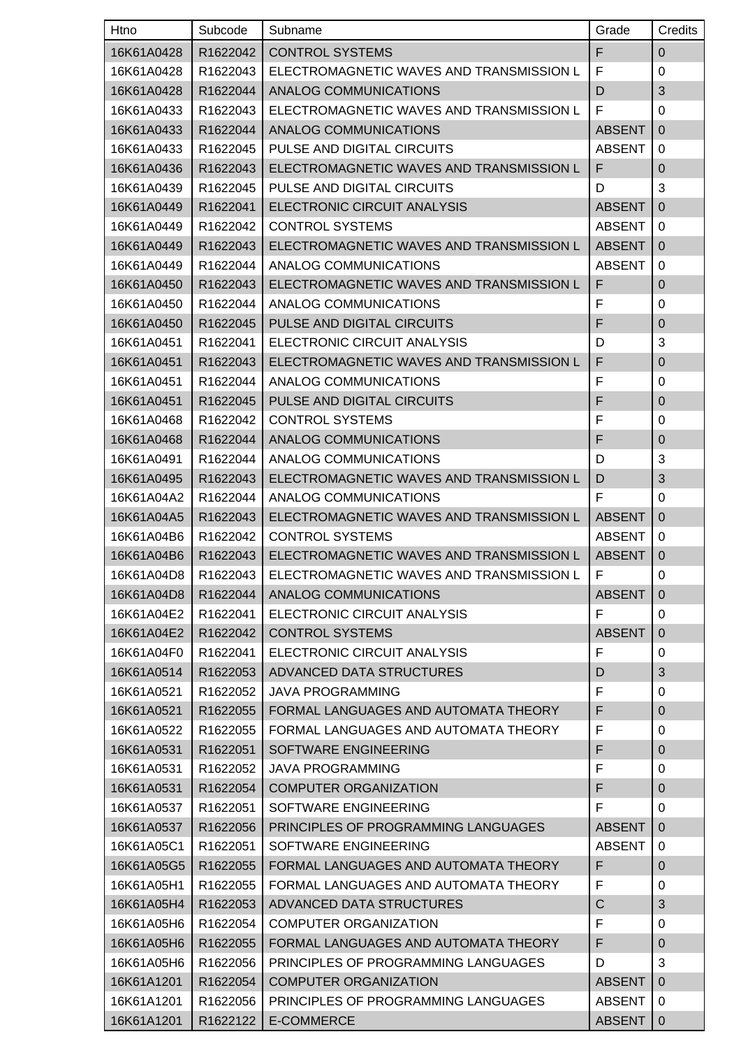| Htno       | Subcode  | Subname                                  | Grade         | Credits        |
|------------|----------|------------------------------------------|---------------|----------------|
| 16K61A0428 | R1622042 | <b>CONTROL SYSTEMS</b>                   | F             | $\mathbf 0$    |
| 16K61A0428 | R1622043 | ELECTROMAGNETIC WAVES AND TRANSMISSION L | F             | 0              |
| 16K61A0428 | R1622044 | ANALOG COMMUNICATIONS                    | D             | 3              |
| 16K61A0433 | R1622043 | ELECTROMAGNETIC WAVES AND TRANSMISSION L | F             | 0              |
| 16K61A0433 | R1622044 | ANALOG COMMUNICATIONS                    | <b>ABSENT</b> | $\Omega$       |
| 16K61A0433 | R1622045 | PULSE AND DIGITAL CIRCUITS               | <b>ABSENT</b> | 0              |
| 16K61A0436 | R1622043 | ELECTROMAGNETIC WAVES AND TRANSMISSION L | F             | $\mathbf 0$    |
| 16K61A0439 | R1622045 | PULSE AND DIGITAL CIRCUITS               | D             | 3              |
| 16K61A0449 | R1622041 | ELECTRONIC CIRCUIT ANALYSIS              | <b>ABSENT</b> | $\mathbf{0}$   |
| 16K61A0449 | R1622042 | <b>CONTROL SYSTEMS</b>                   | <b>ABSENT</b> | 0              |
| 16K61A0449 | R1622043 | ELECTROMAGNETIC WAVES AND TRANSMISSION L | <b>ABSENT</b> | $\mathbf{0}$   |
| 16K61A0449 | R1622044 | ANALOG COMMUNICATIONS                    | <b>ABSENT</b> | 0              |
| 16K61A0450 | R1622043 | ELECTROMAGNETIC WAVES AND TRANSMISSION L | F             | $\mathbf 0$    |
| 16K61A0450 | R1622044 | ANALOG COMMUNICATIONS                    | F             | 0              |
| 16K61A0450 | R1622045 | PULSE AND DIGITAL CIRCUITS               | F             | $\mathbf 0$    |
| 16K61A0451 | R1622041 | ELECTRONIC CIRCUIT ANALYSIS              | D             | 3              |
| 16K61A0451 | R1622043 | ELECTROMAGNETIC WAVES AND TRANSMISSION L | F             | $\pmb{0}$      |
| 16K61A0451 | R1622044 | ANALOG COMMUNICATIONS                    | F             | 0              |
| 16K61A0451 | R1622045 | PULSE AND DIGITAL CIRCUITS               | F             | $\pmb{0}$      |
| 16K61A0468 | R1622042 | <b>CONTROL SYSTEMS</b>                   | F             | 0              |
| 16K61A0468 | R1622044 | <b>ANALOG COMMUNICATIONS</b>             | F             | $\mathbf{0}$   |
| 16K61A0491 | R1622044 | ANALOG COMMUNICATIONS                    | D             | 3              |
| 16K61A0495 | R1622043 | ELECTROMAGNETIC WAVES AND TRANSMISSION L | D             | 3              |
| 16K61A04A2 | R1622044 | ANALOG COMMUNICATIONS                    | F             | 0              |
| 16K61A04A5 | R1622043 | ELECTROMAGNETIC WAVES AND TRANSMISSION L | <b>ABSENT</b> | $\Omega$       |
| 16K61A04B6 | R1622042 | <b>CONTROL SYSTEMS</b>                   | <b>ABSENT</b> | 0              |
| 16K61A04B6 | R1622043 | ELECTROMAGNETIC WAVES AND TRANSMISSION L | <b>ABSENT</b> | $\mathbf 0$    |
| 16K61A04D8 | R1622043 | ELECTROMAGNETIC WAVES AND TRANSMISSION L | F.            | $\pmb{0}$      |
| 16K61A04D8 | R1622044 | ANALOG COMMUNICATIONS                    | <b>ABSENT</b> | $\overline{0}$ |
| 16K61A04E2 | R1622041 | ELECTRONIC CIRCUIT ANALYSIS              | F             | 0              |
| 16K61A04E2 | R1622042 | <b>CONTROL SYSTEMS</b>                   | <b>ABSENT</b> | $\mathbf{0}$   |
| 16K61A04F0 | R1622041 | ELECTRONIC CIRCUIT ANALYSIS              | F             | 0              |
| 16K61A0514 | R1622053 | ADVANCED DATA STRUCTURES                 | D             | 3              |
| 16K61A0521 | R1622052 | <b>JAVA PROGRAMMING</b>                  | F             | 0              |
| 16K61A0521 | R1622055 | FORMAL LANGUAGES AND AUTOMATA THEORY     | F             | $\mathbf 0$    |
| 16K61A0522 | R1622055 | FORMAL LANGUAGES AND AUTOMATA THEORY     | F             | 0              |
| 16K61A0531 | R1622051 | SOFTWARE ENGINEERING                     | F             | $\mathbf 0$    |
| 16K61A0531 | R1622052 | <b>JAVA PROGRAMMING</b>                  | F             | 0              |
| 16K61A0531 | R1622054 | <b>COMPUTER ORGANIZATION</b>             | F             | $\pmb{0}$      |
| 16K61A0537 | R1622051 | SOFTWARE ENGINEERING                     | F             | 0              |
| 16K61A0537 | R1622056 | PRINCIPLES OF PROGRAMMING LANGUAGES      | <b>ABSENT</b> | $\mathbf{0}$   |
| 16K61A05C1 | R1622051 | SOFTWARE ENGINEERING                     | <b>ABSENT</b> | 0              |
| 16K61A05G5 | R1622055 | FORMAL LANGUAGES AND AUTOMATA THEORY     | F             | 0              |
| 16K61A05H1 | R1622055 | FORMAL LANGUAGES AND AUTOMATA THEORY     | F             | 0              |
| 16K61A05H4 | R1622053 | ADVANCED DATA STRUCTURES                 | $\mathsf C$   | 3              |
| 16K61A05H6 | R1622054 | <b>COMPUTER ORGANIZATION</b>             | F             | 0              |
| 16K61A05H6 | R1622055 | FORMAL LANGUAGES AND AUTOMATA THEORY     | F             | $\mathbf 0$    |
| 16K61A05H6 | R1622056 | PRINCIPLES OF PROGRAMMING LANGUAGES      | D             | 3              |
| 16K61A1201 | R1622054 | <b>COMPUTER ORGANIZATION</b>             | <b>ABSENT</b> | $\overline{0}$ |
| 16K61A1201 | R1622056 | PRINCIPLES OF PROGRAMMING LANGUAGES      | <b>ABSENT</b> | 0              |
| 16K61A1201 | R1622122 | E-COMMERCE                               | <b>ABSENT</b> | $\mathbf{0}$   |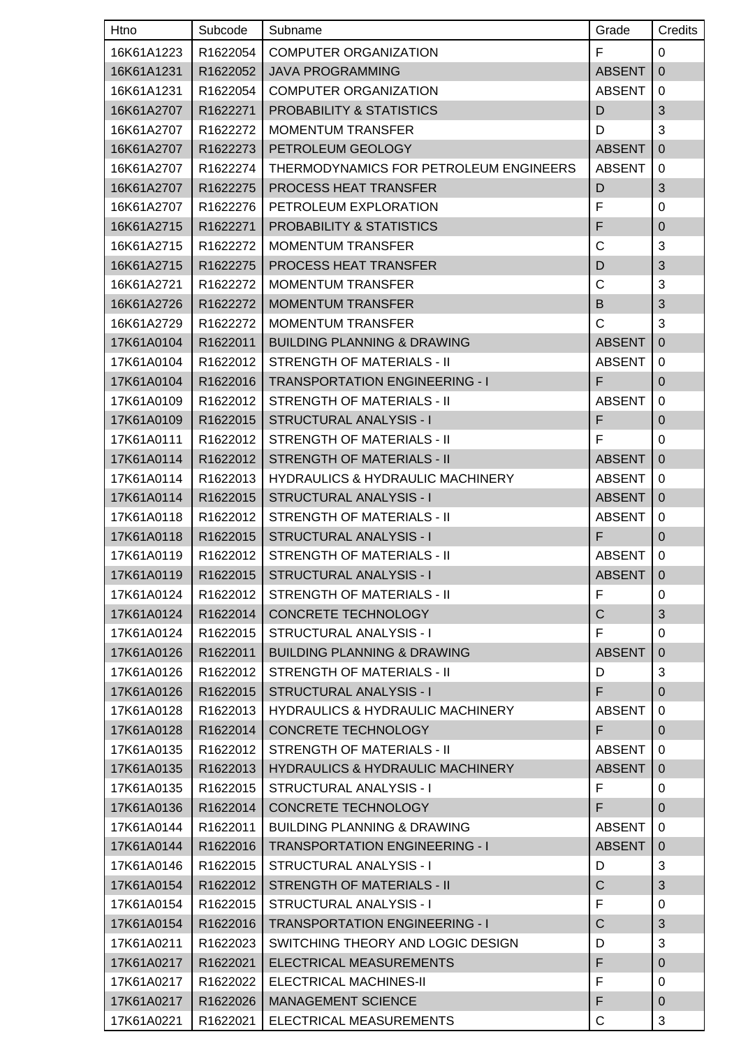| Htno       | Subcode  | Subname                                     | Grade         | Credits        |
|------------|----------|---------------------------------------------|---------------|----------------|
| 16K61A1223 | R1622054 | <b>COMPUTER ORGANIZATION</b>                | F             | $\mathbf 0$    |
| 16K61A1231 | R1622052 | <b>JAVA PROGRAMMING</b>                     | <b>ABSENT</b> | $\overline{0}$ |
| 16K61A1231 | R1622054 | <b>COMPUTER ORGANIZATION</b>                | <b>ABSENT</b> | 0              |
| 16K61A2707 | R1622271 | <b>PROBABILITY &amp; STATISTICS</b>         | D             | $\mathfrak{B}$ |
| 16K61A2707 | R1622272 | <b>MOMENTUM TRANSFER</b>                    | D             | 3              |
| 16K61A2707 | R1622273 | PETROLEUM GEOLOGY                           | <b>ABSENT</b> | $\overline{0}$ |
| 16K61A2707 | R1622274 | THERMODYNAMICS FOR PETROLEUM ENGINEERS      | <b>ABSENT</b> | 0              |
| 16K61A2707 | R1622275 | PROCESS HEAT TRANSFER                       | D             | 3              |
| 16K61A2707 | R1622276 | PETROLEUM EXPLORATION                       | F             | 0              |
| 16K61A2715 | R1622271 | <b>PROBABILITY &amp; STATISTICS</b>         | F             | $\mathbf 0$    |
| 16K61A2715 | R1622272 | <b>MOMENTUM TRANSFER</b>                    | C             | 3              |
| 16K61A2715 | R1622275 | PROCESS HEAT TRANSFER                       | D             | $\mathfrak{B}$ |
| 16K61A2721 | R1622272 | <b>MOMENTUM TRANSFER</b>                    | C             | 3              |
| 16K61A2726 | R1622272 | <b>MOMENTUM TRANSFER</b>                    | B             | $\mathfrak{B}$ |
| 16K61A2729 | R1622272 | <b>MOMENTUM TRANSFER</b>                    | $\mathsf{C}$  | 3              |
| 17K61A0104 | R1622011 | <b>BUILDING PLANNING &amp; DRAWING</b>      | <b>ABSENT</b> | $\overline{0}$ |
| 17K61A0104 | R1622012 | STRENGTH OF MATERIALS - II                  | <b>ABSENT</b> | 0              |
| 17K61A0104 | R1622016 | <b>TRANSPORTATION ENGINEERING - I</b>       | F             | $\mathbf 0$    |
| 17K61A0109 | R1622012 | STRENGTH OF MATERIALS - II                  | <b>ABSENT</b> | 0              |
| 17K61A0109 | R1622015 | <b>STRUCTURAL ANALYSIS - I</b>              | F             | $\mathbf 0$    |
| 17K61A0111 | R1622012 | <b>STRENGTH OF MATERIALS - II</b>           | F             | 0              |
| 17K61A0114 | R1622012 | <b>STRENGTH OF MATERIALS - II</b>           | <b>ABSENT</b> | $\overline{0}$ |
| 17K61A0114 | R1622013 | <b>HYDRAULICS &amp; HYDRAULIC MACHINERY</b> | <b>ABSENT</b> | 0              |
| 17K61A0114 | R1622015 | <b>STRUCTURAL ANALYSIS - I</b>              | <b>ABSENT</b> | $\overline{0}$ |
| 17K61A0118 | R1622012 | <b>STRENGTH OF MATERIALS - II</b>           | <b>ABSENT</b> | 0              |
| 17K61A0118 | R1622015 | <b>STRUCTURAL ANALYSIS - I</b>              | F             | $\overline{0}$ |
| 17K61A0119 | R1622012 | <b>STRENGTH OF MATERIALS - II</b>           | <b>ABSENT</b> | 0              |
| 17K61A0119 |          | R1622015   STRUCTURAL ANALYSIS - I          | ABSENT   0    |                |
| 17K61A0124 | R1622012 | STRENGTH OF MATERIALS - II                  | F             | 0              |
| 17K61A0124 | R1622014 | CONCRETE TECHNOLOGY                         | $\mathsf{C}$  | 3              |
| 17K61A0124 | R1622015 | STRUCTURAL ANALYSIS - I                     | F             | 0              |
| 17K61A0126 | R1622011 | <b>BUILDING PLANNING &amp; DRAWING</b>      | <b>ABSENT</b> | $\overline{0}$ |
| 17K61A0126 | R1622012 | STRENGTH OF MATERIALS - II                  | D             | 3              |
| 17K61A0126 | R1622015 | <b>STRUCTURAL ANALYSIS - I</b>              | F.            | $\overline{0}$ |
| 17K61A0128 | R1622013 | <b>HYDRAULICS &amp; HYDRAULIC MACHINERY</b> | <b>ABSENT</b> | 0              |
| 17K61A0128 | R1622014 | CONCRETE TECHNOLOGY                         | F.            | $\mathbf 0$    |
| 17K61A0135 | R1622012 | <b>STRENGTH OF MATERIALS - II</b>           | <b>ABSENT</b> | $\mathbf 0$    |
| 17K61A0135 | R1622013 | <b>HYDRAULICS &amp; HYDRAULIC MACHINERY</b> | <b>ABSENT</b> | $\mathbf 0$    |
| 17K61A0135 | R1622015 | STRUCTURAL ANALYSIS - I                     | F             | $\mathbf 0$    |
| 17K61A0136 | R1622014 | CONCRETE TECHNOLOGY                         | F             | $\mathbf 0$    |
| 17K61A0144 | R1622011 | <b>BUILDING PLANNING &amp; DRAWING</b>      | <b>ABSENT</b> | 0              |
| 17K61A0144 | R1622016 | <b>TRANSPORTATION ENGINEERING - I</b>       | <b>ABSENT</b> | $\mathbf 0$    |
| 17K61A0146 | R1622015 | STRUCTURAL ANALYSIS - I                     | D             | 3              |
| 17K61A0154 | R1622012 | <b>STRENGTH OF MATERIALS - II</b>           | $\mathsf C$   | $\mathfrak{S}$ |
| 17K61A0154 | R1622015 | STRUCTURAL ANALYSIS - I                     | F             | 0              |
| 17K61A0154 | R1622016 | <b>TRANSPORTATION ENGINEERING - I</b>       | $\mathsf{C}$  | $\mathfrak{S}$ |
| 17K61A0211 | R1622023 | SWITCHING THEORY AND LOGIC DESIGN           | D             | 3              |
| 17K61A0217 | R1622021 | ELECTRICAL MEASUREMENTS                     | F             | $\mathbf{0}$   |
| 17K61A0217 | R1622022 | <b>ELECTRICAL MACHINES-II</b>               | F             | 0              |
| 17K61A0217 | R1622026 | <b>MANAGEMENT SCIENCE</b>                   | F             | $\mathbf 0$    |
| 17K61A0221 | R1622021 | ELECTRICAL MEASUREMENTS                     | С             | 3              |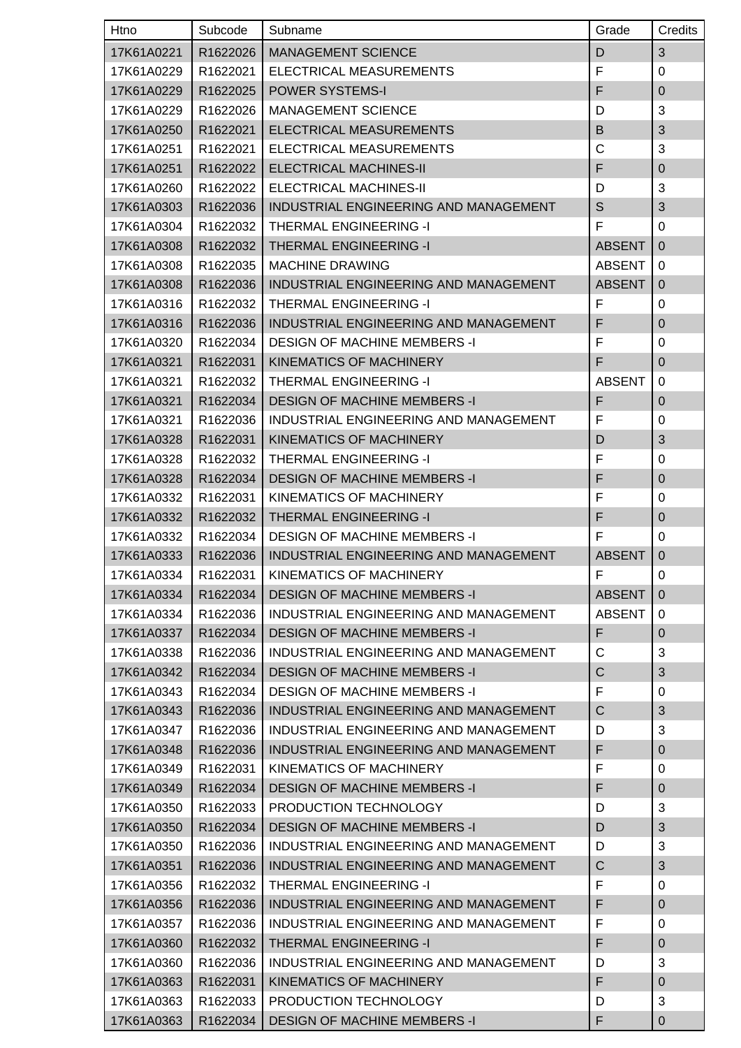| Htno       | Subcode  | Subname                               | Grade                                                                                                                                                                                                                                                                                                                                                                                                                                                    | Credits        |
|------------|----------|---------------------------------------|----------------------------------------------------------------------------------------------------------------------------------------------------------------------------------------------------------------------------------------------------------------------------------------------------------------------------------------------------------------------------------------------------------------------------------------------------------|----------------|
| 17K61A0221 | R1622026 | <b>MANAGEMENT SCIENCE</b>             | D                                                                                                                                                                                                                                                                                                                                                                                                                                                        | $\mathfrak{S}$ |
| 17K61A0229 | R1622021 | ELECTRICAL MEASUREMENTS               | F                                                                                                                                                                                                                                                                                                                                                                                                                                                        | 0              |
| 17K61A0229 | R1622025 | <b>POWER SYSTEMS-I</b>                | F                                                                                                                                                                                                                                                                                                                                                                                                                                                        | $\overline{0}$ |
| 17K61A0229 | R1622026 | <b>MANAGEMENT SCIENCE</b>             | D                                                                                                                                                                                                                                                                                                                                                                                                                                                        | 3              |
| 17K61A0250 | R1622021 | ELECTRICAL MEASUREMENTS               | B                                                                                                                                                                                                                                                                                                                                                                                                                                                        | 3              |
| 17K61A0251 | R1622021 | ELECTRICAL MEASUREMENTS               | C                                                                                                                                                                                                                                                                                                                                                                                                                                                        | 3              |
| 17K61A0251 | R1622022 | <b>ELECTRICAL MACHINES-II</b>         | F                                                                                                                                                                                                                                                                                                                                                                                                                                                        | $\pmb{0}$      |
| 17K61A0260 | R1622022 | ELECTRICAL MACHINES-II                | D                                                                                                                                                                                                                                                                                                                                                                                                                                                        | 3              |
| 17K61A0303 | R1622036 | INDUSTRIAL ENGINEERING AND MANAGEMENT | $\mathsf{S}% _{T}=\mathsf{S}_{T}\!\left( a,b\right) ,\ \mathsf{S}_{T}=\mathsf{S}_{T}\!\left( a,b\right) ,\ \mathsf{S}_{T}=\mathsf{S}_{T}\!\left( a,b\right) ,\ \mathsf{S}_{T}=\mathsf{S}_{T}\!\left( a,b\right) ,\ \mathsf{S}_{T}=\mathsf{S}_{T}\!\left( a,b\right) ,\ \mathsf{S}_{T}=\mathsf{S}_{T}\!\left( a,b\right) ,\ \mathsf{S}_{T}=\mathsf{S}_{T}\!\left( a,b\right) ,\ \mathsf{S}_{T}=\mathsf{S}_{T}\!\left( a,b\right) ,\ \mathsf{S}_{T}=\math$ | $\mathfrak{B}$ |
| 17K61A0304 | R1622032 | THERMAL ENGINEERING -I                | F                                                                                                                                                                                                                                                                                                                                                                                                                                                        | 0              |
| 17K61A0308 | R1622032 | <b>THERMAL ENGINEERING -I</b>         | <b>ABSENT</b>                                                                                                                                                                                                                                                                                                                                                                                                                                            | 0              |
| 17K61A0308 | R1622035 | <b>MACHINE DRAWING</b>                | <b>ABSENT</b>                                                                                                                                                                                                                                                                                                                                                                                                                                            | $\Omega$       |
| 17K61A0308 | R1622036 | INDUSTRIAL ENGINEERING AND MANAGEMENT | <b>ABSENT</b>                                                                                                                                                                                                                                                                                                                                                                                                                                            | $\overline{0}$ |
| 17K61A0316 | R1622032 | THERMAL ENGINEERING -I                | F                                                                                                                                                                                                                                                                                                                                                                                                                                                        | 0              |
| 17K61A0316 | R1622036 | INDUSTRIAL ENGINEERING AND MANAGEMENT | F                                                                                                                                                                                                                                                                                                                                                                                                                                                        | $\mathbf 0$    |
| 17K61A0320 | R1622034 | <b>DESIGN OF MACHINE MEMBERS -I</b>   | F                                                                                                                                                                                                                                                                                                                                                                                                                                                        | 0              |
| 17K61A0321 | R1622031 | KINEMATICS OF MACHINERY               | F                                                                                                                                                                                                                                                                                                                                                                                                                                                        | $\mathbf 0$    |
| 17K61A0321 | R1622032 | THERMAL ENGINEERING -I                | <b>ABSENT</b>                                                                                                                                                                                                                                                                                                                                                                                                                                            | 0              |
| 17K61A0321 | R1622034 | <b>DESIGN OF MACHINE MEMBERS -I</b>   | F                                                                                                                                                                                                                                                                                                                                                                                                                                                        | $\pmb{0}$      |
| 17K61A0321 | R1622036 | INDUSTRIAL ENGINEERING AND MANAGEMENT | F                                                                                                                                                                                                                                                                                                                                                                                                                                                        | $\mathbf 0$    |
| 17K61A0328 | R1622031 | KINEMATICS OF MACHINERY               | D                                                                                                                                                                                                                                                                                                                                                                                                                                                        | 3              |
| 17K61A0328 | R1622032 | THERMAL ENGINEERING -I                | F                                                                                                                                                                                                                                                                                                                                                                                                                                                        | 0              |
| 17K61A0328 | R1622034 | <b>DESIGN OF MACHINE MEMBERS -I</b>   | F                                                                                                                                                                                                                                                                                                                                                                                                                                                        | $\overline{0}$ |
| 17K61A0332 | R1622031 | KINEMATICS OF MACHINERY               | F                                                                                                                                                                                                                                                                                                                                                                                                                                                        | 0              |
| 17K61A0332 | R1622032 | <b>THERMAL ENGINEERING -I</b>         | F                                                                                                                                                                                                                                                                                                                                                                                                                                                        | $\mathbf 0$    |
| 17K61A0332 | R1622034 | <b>DESIGN OF MACHINE MEMBERS -I</b>   | F                                                                                                                                                                                                                                                                                                                                                                                                                                                        | 0              |
| 17K61A0333 | R1622036 | INDUSTRIAL ENGINEERING AND MANAGEMENT | <b>ABSENT</b>                                                                                                                                                                                                                                                                                                                                                                                                                                            | $\mathbf 0$    |
| 17K61A0334 | R1622031 | KINEMATICS OF MACHINERY               | $\mathsf F$                                                                                                                                                                                                                                                                                                                                                                                                                                              | 0              |
| 17K61A0334 | R1622034 | <b>DESIGN OF MACHINE MEMBERS -I</b>   | <b>ABSENT</b>                                                                                                                                                                                                                                                                                                                                                                                                                                            | $\mathbf 0$    |
| 17K61A0334 | R1622036 | INDUSTRIAL ENGINEERING AND MANAGEMENT | <b>ABSENT</b>                                                                                                                                                                                                                                                                                                                                                                                                                                            | 0              |
| 17K61A0337 | R1622034 | <b>DESIGN OF MACHINE MEMBERS -I</b>   | F                                                                                                                                                                                                                                                                                                                                                                                                                                                        | $\mathbf 0$    |
| 17K61A0338 | R1622036 | INDUSTRIAL ENGINEERING AND MANAGEMENT | C                                                                                                                                                                                                                                                                                                                                                                                                                                                        | 3              |
| 17K61A0342 | R1622034 | <b>DESIGN OF MACHINE MEMBERS -I</b>   | $\mathsf{C}$                                                                                                                                                                                                                                                                                                                                                                                                                                             | 3              |
| 17K61A0343 | R1622034 | <b>DESIGN OF MACHINE MEMBERS -I</b>   | F                                                                                                                                                                                                                                                                                                                                                                                                                                                        | 0              |
| 17K61A0343 | R1622036 | INDUSTRIAL ENGINEERING AND MANAGEMENT | $\mathsf{C}$                                                                                                                                                                                                                                                                                                                                                                                                                                             | 3              |
| 17K61A0347 | R1622036 | INDUSTRIAL ENGINEERING AND MANAGEMENT | D                                                                                                                                                                                                                                                                                                                                                                                                                                                        | 3              |
| 17K61A0348 | R1622036 | INDUSTRIAL ENGINEERING AND MANAGEMENT | F                                                                                                                                                                                                                                                                                                                                                                                                                                                        | $\overline{0}$ |
| 17K61A0349 | R1622031 | KINEMATICS OF MACHINERY               | F                                                                                                                                                                                                                                                                                                                                                                                                                                                        | 0              |
| 17K61A0349 | R1622034 | <b>DESIGN OF MACHINE MEMBERS -I</b>   | F                                                                                                                                                                                                                                                                                                                                                                                                                                                        | $\pmb{0}$      |
| 17K61A0350 | R1622033 | PRODUCTION TECHNOLOGY                 | D                                                                                                                                                                                                                                                                                                                                                                                                                                                        | 3              |
| 17K61A0350 | R1622034 | <b>DESIGN OF MACHINE MEMBERS -I</b>   | D                                                                                                                                                                                                                                                                                                                                                                                                                                                        | 3              |
| 17K61A0350 | R1622036 | INDUSTRIAL ENGINEERING AND MANAGEMENT | D                                                                                                                                                                                                                                                                                                                                                                                                                                                        | 3              |
| 17K61A0351 | R1622036 | INDUSTRIAL ENGINEERING AND MANAGEMENT | $\mathsf{C}$                                                                                                                                                                                                                                                                                                                                                                                                                                             | $\mathfrak{S}$ |
| 17K61A0356 | R1622032 | THERMAL ENGINEERING -I                | F                                                                                                                                                                                                                                                                                                                                                                                                                                                        | 0              |
| 17K61A0356 | R1622036 | INDUSTRIAL ENGINEERING AND MANAGEMENT | F                                                                                                                                                                                                                                                                                                                                                                                                                                                        | $\mathbf 0$    |
| 17K61A0357 | R1622036 | INDUSTRIAL ENGINEERING AND MANAGEMENT | F                                                                                                                                                                                                                                                                                                                                                                                                                                                        | 0              |
| 17K61A0360 | R1622032 | <b>THERMAL ENGINEERING -I</b>         | F                                                                                                                                                                                                                                                                                                                                                                                                                                                        | $\overline{0}$ |
| 17K61A0360 | R1622036 | INDUSTRIAL ENGINEERING AND MANAGEMENT | D                                                                                                                                                                                                                                                                                                                                                                                                                                                        | 3              |
| 17K61A0363 | R1622031 | KINEMATICS OF MACHINERY               | F                                                                                                                                                                                                                                                                                                                                                                                                                                                        | $\mathbf 0$    |
| 17K61A0363 | R1622033 | PRODUCTION TECHNOLOGY                 | D                                                                                                                                                                                                                                                                                                                                                                                                                                                        | 3              |
| 17K61A0363 | R1622034 | <b>DESIGN OF MACHINE MEMBERS -I</b>   | F                                                                                                                                                                                                                                                                                                                                                                                                                                                        | 0              |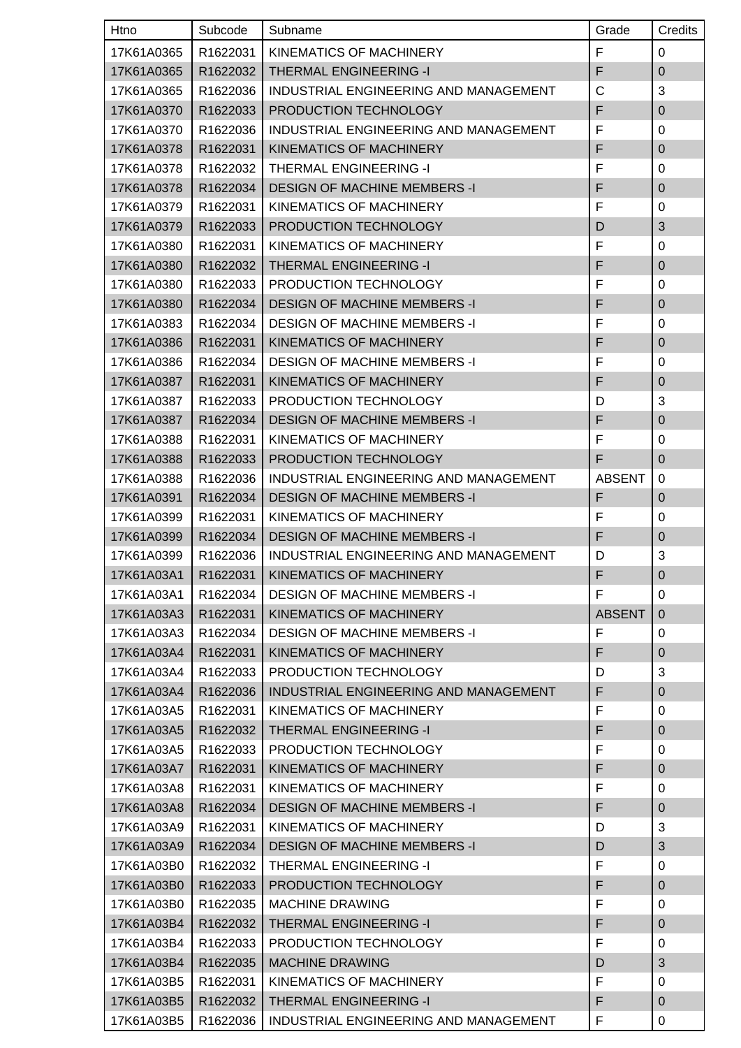| Htno       | Subcode              | Subname                               | Grade         | Credits        |
|------------|----------------------|---------------------------------------|---------------|----------------|
| 17K61A0365 | R1622031             | KINEMATICS OF MACHINERY               | F             | $\mathbf 0$    |
| 17K61A0365 | R1622032             | <b>THERMAL ENGINEERING -I</b>         | F             | $\pmb{0}$      |
| 17K61A0365 | R1622036             | INDUSTRIAL ENGINEERING AND MANAGEMENT | $\mathsf{C}$  | 3              |
| 17K61A0370 | R1622033             | PRODUCTION TECHNOLOGY                 | F             | $\mathbf 0$    |
| 17K61A0370 | R1622036             | INDUSTRIAL ENGINEERING AND MANAGEMENT | F             | 0              |
| 17K61A0378 | R1622031             | KINEMATICS OF MACHINERY               | F             | $\mathbf 0$    |
| 17K61A0378 | R1622032             | THERMAL ENGINEERING -I                | F             | 0              |
| 17K61A0378 | R1622034             | <b>DESIGN OF MACHINE MEMBERS -I</b>   | F             | $\mathbf 0$    |
| 17K61A0379 | R1622031             | KINEMATICS OF MACHINERY               | F             | 0              |
| 17K61A0379 | R1622033             | PRODUCTION TECHNOLOGY                 | D             | $\mathfrak{B}$ |
| 17K61A0380 | R1622031             | KINEMATICS OF MACHINERY               | F             | 0              |
| 17K61A0380 | R1622032             | <b>THERMAL ENGINEERING -I</b>         | F             | $\pmb{0}$      |
| 17K61A0380 | R1622033             | PRODUCTION TECHNOLOGY                 | F             | 0              |
| 17K61A0380 | R1622034             | <b>DESIGN OF MACHINE MEMBERS -I</b>   | F             | $\mathbf 0$    |
| 17K61A0383 | R1622034             | <b>DESIGN OF MACHINE MEMBERS -I</b>   | F             | 0              |
| 17K61A0386 | R1622031             | <b>KINEMATICS OF MACHINERY</b>        | F             | $\mathbf 0$    |
| 17K61A0386 | R1622034             | <b>DESIGN OF MACHINE MEMBERS -I</b>   | F             | 0              |
| 17K61A0387 | R1622031             | KINEMATICS OF MACHINERY               | F             | $\mathbf 0$    |
| 17K61A0387 | R1622033             | PRODUCTION TECHNOLOGY                 | D             | 3              |
| 17K61A0387 | R1622034             | <b>DESIGN OF MACHINE MEMBERS -I</b>   | F             | $\pmb{0}$      |
| 17K61A0388 | R1622031             | KINEMATICS OF MACHINERY               | F             | 0              |
| 17K61A0388 | R1622033             | PRODUCTION TECHNOLOGY                 | F             | $\mathbf 0$    |
| 17K61A0388 | R1622036             | INDUSTRIAL ENGINEERING AND MANAGEMENT | <b>ABSENT</b> | $\mathbf 0$    |
| 17K61A0391 | R1622034             | <b>DESIGN OF MACHINE MEMBERS -I</b>   | F             | $\mathbf 0$    |
| 17K61A0399 | R1622031             | KINEMATICS OF MACHINERY               | F             | 0              |
| 17K61A0399 | R1622034             | <b>DESIGN OF MACHINE MEMBERS -I</b>   | F             | $\mathbf 0$    |
| 17K61A0399 | R1622036             | INDUSTRIAL ENGINEERING AND MANAGEMENT | D             | 3              |
| 17K61A03A1 | R <sub>1622031</sub> | KINEMATICS OF MACHINERY               | $\mathsf F$   | $\pmb{0}$      |
| 17K61A03A1 | R1622034             | <b>DESIGN OF MACHINE MEMBERS -I</b>   | F             | 0              |
| 17K61A03A3 | R1622031             | KINEMATICS OF MACHINERY               | <b>ABSENT</b> | $\mathbf 0$    |
| 17K61A03A3 | R1622034             | <b>DESIGN OF MACHINE MEMBERS -I</b>   | F             | 0              |
| 17K61A03A4 | R1622031             | <b>KINEMATICS OF MACHINERY</b>        | F             | $\pmb{0}$      |
| 17K61A03A4 | R1622033             | PRODUCTION TECHNOLOGY                 | D             | 3              |
| 17K61A03A4 | R1622036             | INDUSTRIAL ENGINEERING AND MANAGEMENT | F             | $\mathbf 0$    |
| 17K61A03A5 | R1622031             | KINEMATICS OF MACHINERY               | F             | 0              |
| 17K61A03A5 | R1622032             | THERMAL ENGINEERING -I                | F             | $\mathbf 0$    |
| 17K61A03A5 | R1622033             | PRODUCTION TECHNOLOGY                 | F             | 0              |
| 17K61A03A7 | R1622031             | KINEMATICS OF MACHINERY               | F             | $\mathbf 0$    |
| 17K61A03A8 | R1622031             | KINEMATICS OF MACHINERY               | F             | 0              |
| 17K61A03A8 | R1622034             | <b>DESIGN OF MACHINE MEMBERS -I</b>   | F             | $\overline{0}$ |
| 17K61A03A9 | R1622031             | KINEMATICS OF MACHINERY               | D             | 3              |
| 17K61A03A9 | R1622034             | <b>DESIGN OF MACHINE MEMBERS -I</b>   | D             | $\mathfrak{B}$ |
| 17K61A03B0 | R1622032             | THERMAL ENGINEERING -I                | F             | 0              |
| 17K61A03B0 | R1622033             | PRODUCTION TECHNOLOGY                 | F             | $\mathbf 0$    |
| 17K61A03B0 | R1622035             | <b>MACHINE DRAWING</b>                | F             | 0              |
| 17K61A03B4 | R1622032             | <b>THERMAL ENGINEERING -I</b>         | F             | $\mathbf 0$    |
| 17K61A03B4 | R1622033             | PRODUCTION TECHNOLOGY                 | F             | 0              |
| 17K61A03B4 | R1622035             | <b>MACHINE DRAWING</b>                | D             | 3              |
| 17K61A03B5 | R1622031             | KINEMATICS OF MACHINERY               | F             | 0              |
| 17K61A03B5 | R1622032             | THERMAL ENGINEERING -I                | F             | $\mathbf{0}$   |
| 17K61A03B5 | R1622036             | INDUSTRIAL ENGINEERING AND MANAGEMENT | F             | 0              |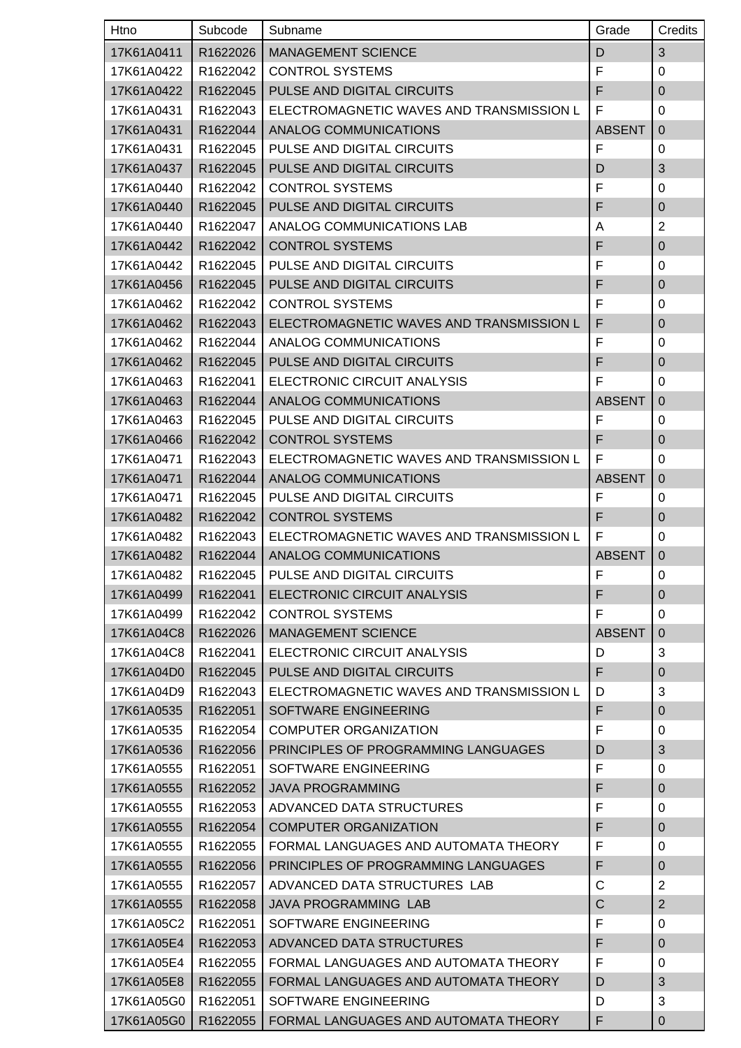| Htno       | Subcode              | Subname                                  | Grade         | Credits        |
|------------|----------------------|------------------------------------------|---------------|----------------|
| 17K61A0411 | R1622026             | <b>MANAGEMENT SCIENCE</b>                | D             | $\mathfrak{S}$ |
| 17K61A0422 | R1622042             | <b>CONTROL SYSTEMS</b>                   | F             | 0              |
| 17K61A0422 | R1622045             | PULSE AND DIGITAL CIRCUITS               | F             | $\overline{0}$ |
| 17K61A0431 | R1622043             | ELECTROMAGNETIC WAVES AND TRANSMISSION L | F             | 0              |
| 17K61A0431 | R1622044             | ANALOG COMMUNICATIONS                    | <b>ABSENT</b> | $\overline{0}$ |
| 17K61A0431 | R1622045             | PULSE AND DIGITAL CIRCUITS               | F             | 0              |
| 17K61A0437 | R1622045             | PULSE AND DIGITAL CIRCUITS               | D             | 3              |
| 17K61A0440 | R1622042             | <b>CONTROL SYSTEMS</b>                   | F             | 0              |
| 17K61A0440 | R1622045             | PULSE AND DIGITAL CIRCUITS               | F             | $\pmb{0}$      |
| 17K61A0440 | R1622047             | ANALOG COMMUNICATIONS LAB                | A             | $\overline{2}$ |
| 17K61A0442 | R1622042             | <b>CONTROL SYSTEMS</b>                   | F             | $\mathbf 0$    |
| 17K61A0442 | R1622045             | PULSE AND DIGITAL CIRCUITS               | F             | 0              |
| 17K61A0456 | R1622045             | PULSE AND DIGITAL CIRCUITS               | F             | $\mathbf 0$    |
| 17K61A0462 | R1622042             | <b>CONTROL SYSTEMS</b>                   | F             | 0              |
| 17K61A0462 | R1622043             | ELECTROMAGNETIC WAVES AND TRANSMISSION L | F             | $\mathbf 0$    |
| 17K61A0462 | R1622044             | ANALOG COMMUNICATIONS                    | F             | 0              |
| 17K61A0462 | R1622045             | PULSE AND DIGITAL CIRCUITS               | F             | $\mathbf 0$    |
| 17K61A0463 | R1622041             | ELECTRONIC CIRCUIT ANALYSIS              | F             | 0              |
| 17K61A0463 | R1622044             | ANALOG COMMUNICATIONS                    | <b>ABSENT</b> | $\mathbf 0$    |
| 17K61A0463 | R1622045             | PULSE AND DIGITAL CIRCUITS               | F             | 0              |
| 17K61A0466 | R1622042             | <b>CONTROL SYSTEMS</b>                   | F             | $\mathbf 0$    |
| 17K61A0471 | R1622043             | ELECTROMAGNETIC WAVES AND TRANSMISSION L | F             | $\Omega$       |
| 17K61A0471 | R1622044             | ANALOG COMMUNICATIONS                    | <b>ABSENT</b> | $\overline{0}$ |
| 17K61A0471 | R1622045             | PULSE AND DIGITAL CIRCUITS               | F             | 0              |
| 17K61A0482 | R1622042             | <b>CONTROL SYSTEMS</b>                   | F             | $\mathbf 0$    |
| 17K61A0482 | R1622043             | ELECTROMAGNETIC WAVES AND TRANSMISSION L | F             | 0              |
| 17K61A0482 | R1622044             | ANALOG COMMUNICATIONS                    | <b>ABSENT</b> | $\mathbf 0$    |
| 17K61A0482 | R <sub>1622045</sub> | PULSE AND DIGITAL CIRCUITS               | F             | 0              |
| 17K61A0499 | R1622041             | ELECTRONIC CIRCUIT ANALYSIS              | F             | $\pmb{0}$      |
| 17K61A0499 | R1622042             | <b>CONTROL SYSTEMS</b>                   | F             | $\mathbf 0$    |
| 17K61A04C8 | R1622026             | <b>MANAGEMENT SCIENCE</b>                | <b>ABSENT</b> | $\overline{0}$ |
| 17K61A04C8 | R1622041             | ELECTRONIC CIRCUIT ANALYSIS              | D             | 3              |
| 17K61A04D0 | R1622045             | PULSE AND DIGITAL CIRCUITS               | F             | $\mathbf 0$    |
| 17K61A04D9 | R1622043             | ELECTROMAGNETIC WAVES AND TRANSMISSION L | D             | 3              |
| 17K61A0535 | R1622051             | SOFTWARE ENGINEERING                     | F             | $\pmb{0}$      |
| 17K61A0535 | R1622054             | <b>COMPUTER ORGANIZATION</b>             | F             | 0              |
| 17K61A0536 | R1622056             | PRINCIPLES OF PROGRAMMING LANGUAGES      | D             | 3              |
| 17K61A0555 | R1622051             | SOFTWARE ENGINEERING                     | F             | 0              |
| 17K61A0555 | R1622052             | <b>JAVA PROGRAMMING</b>                  | F             | $\pmb{0}$      |
| 17K61A0555 | R1622053             | ADVANCED DATA STRUCTURES                 | F             | 0              |
| 17K61A0555 | R1622054             | <b>COMPUTER ORGANIZATION</b>             | F             | $\pmb{0}$      |
| 17K61A0555 | R1622055             | FORMAL LANGUAGES AND AUTOMATA THEORY     | F             | 0              |
| 17K61A0555 | R1622056             | PRINCIPLES OF PROGRAMMING LANGUAGES      | F             | $\mathbf 0$    |
| 17K61A0555 | R <sub>1622057</sub> | ADVANCED DATA STRUCTURES LAB             | C             | $\overline{2}$ |
| 17K61A0555 | R1622058             | <b>JAVA PROGRAMMING LAB</b>              | $\mathsf C$   | $\overline{2}$ |
| 17K61A05C2 | R1622051             | SOFTWARE ENGINEERING                     | F             | 0              |
| 17K61A05E4 | R1622053             | ADVANCED DATA STRUCTURES                 | F             | $\mathbf 0$    |
| 17K61A05E4 | R1622055             | FORMAL LANGUAGES AND AUTOMATA THEORY     | F             | 0              |
| 17K61A05E8 | R1622055             | FORMAL LANGUAGES AND AUTOMATA THEORY     | D             | $\mathfrak{B}$ |
| 17K61A05G0 | R1622051             | SOFTWARE ENGINEERING                     | D             | 3              |
| 17K61A05G0 | R1622055             | FORMAL LANGUAGES AND AUTOMATA THEORY     | F             | $\mathbf 0$    |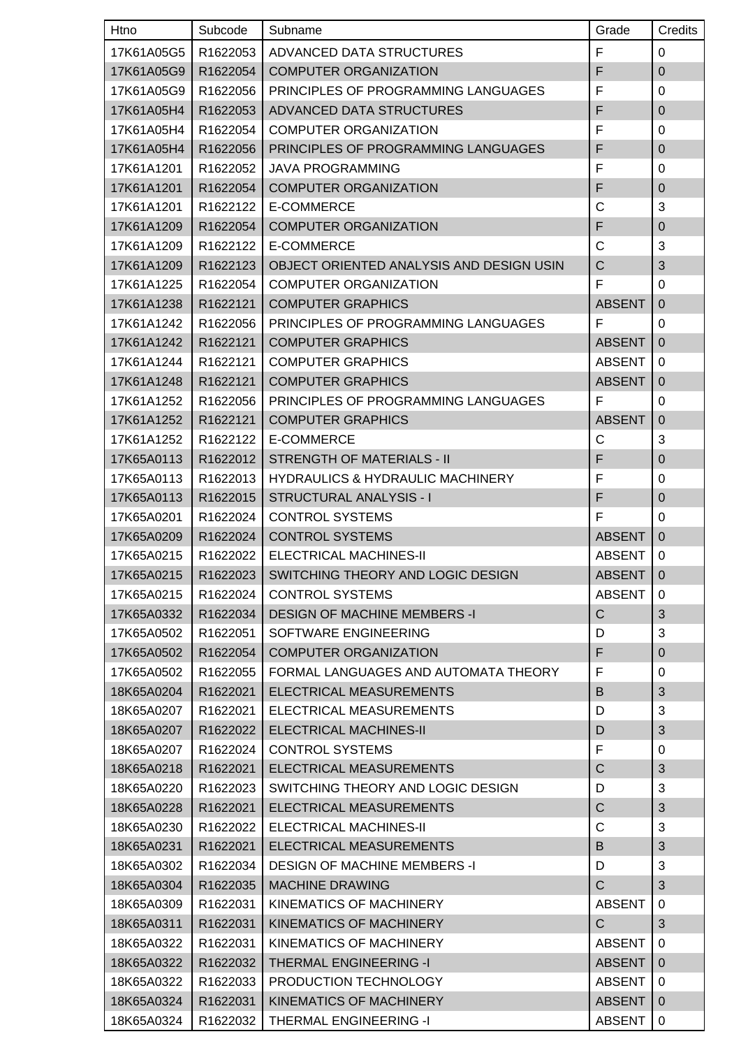| <b>Htno</b> | Subcode  | Subname                                      | Grade         | Credits        |
|-------------|----------|----------------------------------------------|---------------|----------------|
| 17K61A05G5  | R1622053 | ADVANCED DATA STRUCTURES                     | F             | 0              |
| 17K61A05G9  | R1622054 | <b>COMPUTER ORGANIZATION</b>                 | F             | $\mathbf 0$    |
| 17K61A05G9  | R1622056 | PRINCIPLES OF PROGRAMMING LANGUAGES          | F             | $\mathbf 0$    |
| 17K61A05H4  | R1622053 | ADVANCED DATA STRUCTURES                     | F             | $\pmb{0}$      |
| 17K61A05H4  | R1622054 | <b>COMPUTER ORGANIZATION</b>                 | F             | 0              |
| 17K61A05H4  | R1622056 | PRINCIPLES OF PROGRAMMING LANGUAGES          | F             | $\mathbf 0$    |
| 17K61A1201  | R1622052 | <b>JAVA PROGRAMMING</b>                      | F             | 0              |
| 17K61A1201  | R1622054 | <b>COMPUTER ORGANIZATION</b>                 | F             | $\mathbf 0$    |
| 17K61A1201  | R1622122 | E-COMMERCE                                   | C             | 3              |
| 17K61A1209  | R1622054 | <b>COMPUTER ORGANIZATION</b>                 | F             | $\pmb{0}$      |
| 17K61A1209  | R1622122 | E-COMMERCE                                   | C             | 3              |
| 17K61A1209  | R1622123 | OBJECT ORIENTED ANALYSIS AND DESIGN USIN     | C             | $\mathfrak{B}$ |
| 17K61A1225  | R1622054 | <b>COMPUTER ORGANIZATION</b>                 | F             | $\mathbf 0$    |
| 17K61A1238  | R1622121 | <b>COMPUTER GRAPHICS</b>                     | <b>ABSENT</b> | $\mathbf 0$    |
| 17K61A1242  | R1622056 | PRINCIPLES OF PROGRAMMING LANGUAGES          | F             | 0              |
| 17K61A1242  | R1622121 | <b>COMPUTER GRAPHICS</b>                     | <b>ABSENT</b> | $\overline{0}$ |
| 17K61A1244  | R1622121 | <b>COMPUTER GRAPHICS</b>                     | <b>ABSENT</b> | 0              |
| 17K61A1248  | R1622121 | <b>COMPUTER GRAPHICS</b>                     | <b>ABSENT</b> | $\mathbf 0$    |
| 17K61A1252  | R1622056 | PRINCIPLES OF PROGRAMMING LANGUAGES          | F             | 0              |
| 17K61A1252  | R1622121 | <b>COMPUTER GRAPHICS</b>                     | <b>ABSENT</b> | $\mathbf 0$    |
| 17K61A1252  | R1622122 | E-COMMERCE                                   | $\mathsf{C}$  | 3              |
| 17K65A0113  | R1622012 | <b>STRENGTH OF MATERIALS - II</b>            | F             | $\pmb{0}$      |
| 17K65A0113  | R1622013 | <b>HYDRAULICS &amp; HYDRAULIC MACHINERY</b>  | F             | 0              |
| 17K65A0113  | R1622015 | STRUCTURAL ANALYSIS - I                      | F             | $\pmb{0}$      |
| 17K65A0201  | R1622024 | <b>CONTROL SYSTEMS</b>                       | F             | 0              |
| 17K65A0209  | R1622024 | <b>CONTROL SYSTEMS</b>                       | <b>ABSENT</b> | $\overline{0}$ |
| 17K65A0215  | R1622022 | ELECTRICAL MACHINES-II                       | <b>ABSENT</b> | 0              |
| 17K65A0215  |          | R1622023   SWITCHING THEORY AND LOGIC DESIGN | ABSENT   0    |                |
| 17K65A0215  | R1622024 | <b>CONTROL SYSTEMS</b>                       | <b>ABSENT</b> | 0              |
| 17K65A0332  | R1622034 | <b>DESIGN OF MACHINE MEMBERS -I</b>          | C             | 3              |
| 17K65A0502  | R1622051 | SOFTWARE ENGINEERING                         | D             | 3              |
| 17K65A0502  | R1622054 | <b>COMPUTER ORGANIZATION</b>                 | F             | $\pmb{0}$      |
| 17K65A0502  | R1622055 | FORMAL LANGUAGES AND AUTOMATA THEORY         | F             | 0              |
| 18K65A0204  | R1622021 | ELECTRICAL MEASUREMENTS                      | B             | $\mathfrak{B}$ |
| 18K65A0207  | R1622021 | ELECTRICAL MEASUREMENTS                      | D             | 3              |
| 18K65A0207  | R1622022 | <b>ELECTRICAL MACHINES-II</b>                | D             | $\mathfrak{S}$ |
| 18K65A0207  | R1622024 | <b>CONTROL SYSTEMS</b>                       | F             | 0              |
| 18K65A0218  | R1622021 | ELECTRICAL MEASUREMENTS                      | C             | 3              |
| 18K65A0220  | R1622023 | SWITCHING THEORY AND LOGIC DESIGN            | D             | 3              |
| 18K65A0228  | R1622021 | ELECTRICAL MEASUREMENTS                      | C             | 3              |
| 18K65A0230  | R1622022 | ELECTRICAL MACHINES-II                       | C             | 3              |
| 18K65A0231  | R1622021 | ELECTRICAL MEASUREMENTS                      | B             | $\mathfrak{B}$ |
| 18K65A0302  | R1622034 | <b>DESIGN OF MACHINE MEMBERS -I</b>          | D             | 3              |
| 18K65A0304  | R1622035 | <b>MACHINE DRAWING</b>                       | C             | 3              |
| 18K65A0309  | R1622031 | KINEMATICS OF MACHINERY                      | <b>ABSENT</b> | $\Omega$       |
| 18K65A0311  | R1622031 | KINEMATICS OF MACHINERY                      | $\mathsf{C}$  | $\mathfrak{S}$ |
| 18K65A0322  | R1622031 | KINEMATICS OF MACHINERY                      | <b>ABSENT</b> | 0              |
| 18K65A0322  | R1622032 | <b>THERMAL ENGINEERING -I</b>                | <b>ABSENT</b> | $\overline{0}$ |
| 18K65A0322  | R1622033 | PRODUCTION TECHNOLOGY                        | <b>ABSENT</b> | 0              |
| 18K65A0324  | R1622031 | KINEMATICS OF MACHINERY                      | <b>ABSENT</b> | $\mathbf 0$    |
| 18K65A0324  | R1622032 | THERMAL ENGINEERING -I                       | <b>ABSENT</b> | 0              |